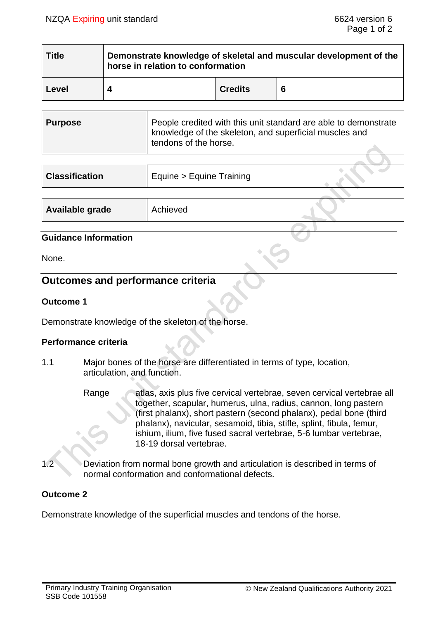| <b>Title</b> | Demonstrate knowledge of skeletal and muscular development of the<br>horse in relation to conformation |                |   |
|--------------|--------------------------------------------------------------------------------------------------------|----------------|---|
| Level        |                                                                                                        | <b>Credits</b> | 6 |

| Purpose | People credited with this unit standard are able to demonstrate<br>knowledge of the skeleton, and superficial muscles and<br>tendons of the horse. |
|---------|----------------------------------------------------------------------------------------------------------------------------------------------------|
|---------|----------------------------------------------------------------------------------------------------------------------------------------------------|

| <b>Classification</b> | Equine > Equine Training |  |
|-----------------------|--------------------------|--|
|                       |                          |  |

| Available grade | Achieved |  |
|-----------------|----------|--|
|                 |          |  |

### **Guidance Information**

None.

# **Outcomes and performance criteria**

### **Outcome 1**

Demonstrate knowledge of the skeleton of the horse.

### **Performance criteria**

- 1.1 Major bones of the horse are differentiated in terms of type, location, articulation, and function.
	- Range atlas, axis plus five cervical vertebrae, seven cervical vertebrae all together, scapular, humerus, ulna, radius, cannon, long pastern (first phalanx), short pastern (second phalanx), pedal bone (third phalanx), navicular, sesamoid, tibia, stifle, splint, fibula, femur, ishium, ilium, five fused sacral vertebrae, 5-6 lumbar vertebrae, 18-19 dorsal vertebrae.
- 1.2 Deviation from normal bone growth and articulation is described in terms of normal conformation and conformational defects.

### **Outcome 2**

Demonstrate knowledge of the superficial muscles and tendons of the horse.